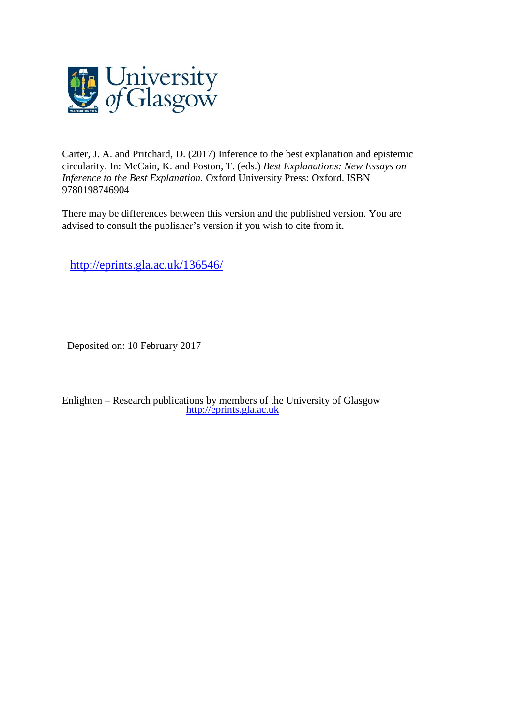

Carter, J. A. and Pritchard, D. (2017) Inference to the best explanation and epistemic circularity. In: McCain, K. and Poston, T. (eds.) *Best Explanations: New Essays on Inference to the Best Explanation.* Oxford University Press: Oxford. ISBN 9780198746904

There may be differences between this version and the published version. You are advised to consult the publisher's version if you wish to cite from it.

<http://eprints.gla.ac.uk/136546/>

Deposited on: 10 February 2017

Enlighten – Research publications by members of the University of Glasgow [http://eprints.gla.ac.uk](http://eprints.gla.ac.uk/)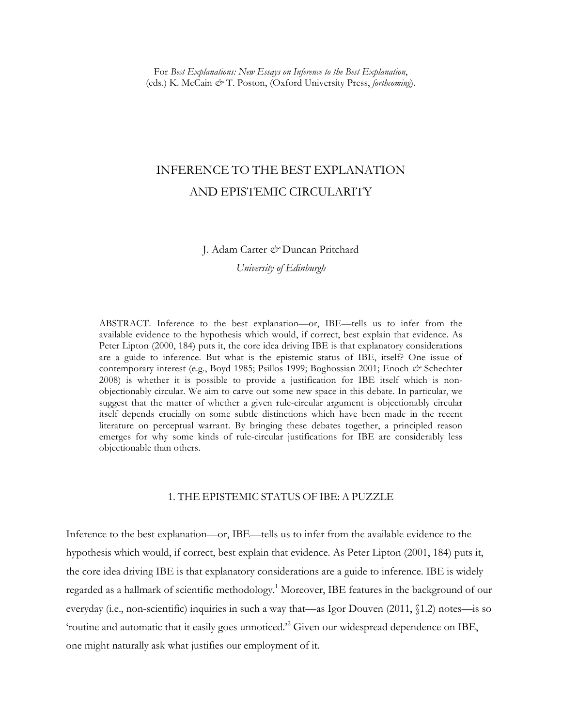# INFERENCE TO THE BEST EXPLANATION AND EPISTEMIC CIRCULARITY

# J. Adam Carter *&* Duncan Pritchard

*University of Edinburgh*

ABSTRACT. Inference to the best explanation—or, IBE—tells us to infer from the available evidence to the hypothesis which would, if correct, best explain that evidence. As Peter Lipton (2000, 184) puts it, the core idea driving IBE is that explanatory considerations are a guide to inference. But what is the epistemic status of IBE, itself? One issue of contemporary interest (e.g., Boyd 1985; Psillos 1999; Boghossian 2001; Enoch & Schechter 2008) is whether it is possible to provide a justification for IBE itself which is nonobjectionably circular. We aim to carve out some new space in this debate. In particular, we suggest that the matter of whether a given rule-circular argument is objectionably circular itself depends crucially on some subtle distinctions which have been made in the recent literature on perceptual warrant. By bringing these debates together, a principled reason emerges for why some kinds of rule-circular justifications for IBE are considerably less objectionable than others.

## 1. THE EPISTEMIC STATUS OF IBE: A PUZZLE

Inference to the best explanation—or, IBE—tells us to infer from the available evidence to the hypothesis which would, if correct, best explain that evidence. As Peter Lipton (2001, 184) puts it, the core idea driving IBE is that explanatory considerations are a guide to inference. IBE is widely regarded as a hallmark of scientific methodology. <sup>1</sup> Moreover, IBE features in the background of our everyday (i.e., non-scientific) inquiries in such a way that—as Igor Douven (2011, §1.2) notes—is so 'routine and automatic that it easily goes unnoticed.'2 Given our widespread dependence on IBE, one might naturally ask what justifies our employment of it.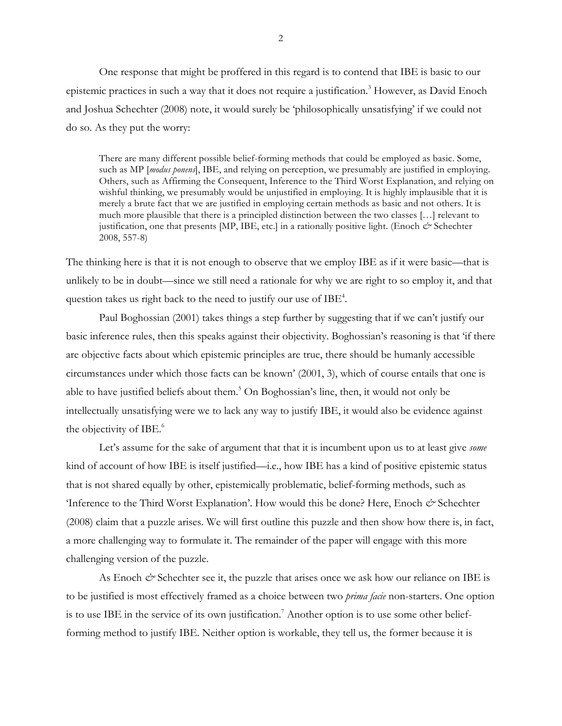One response that might be proffered in this regard is to contend that IBE is basic to our epistemic practices in such a way that it does not require a justification. <sup>3</sup> However, as David Enoch and Joshua Schechter (2008) note, it would surely be 'philosophically unsatisfying' if we could not do so. As they put the worry:

There are many different possible belief-forming methods that could be employed as basic. Some, such as MP [*modus ponens*], IBE, and relying on perception, we presumably are justified in employing. Others, such as Affirming the Consequent, Inference to the Third Worst Explanation, and relying on wishful thinking, we presumably would be unjustified in employing. It is highly implausible that it is merely a brute fact that we are justified in employing certain methods as basic and not others. It is much more plausible that there is a principled distinction between the two classes […] relevant to justification, one that presents [MP, IBE, etc.] in a rationally positive light. (Enoch *&* Schechter 2008, 557-8)

The thinking here is that it is not enough to observe that we employ IBE as if it were basic—that is unlikely to be in doubt—since we still need a rationale for why we are right to so employ it, and that question takes us right back to the need to justify our use of IBE<sup>4</sup>.

Paul Boghossian (2001) takes things a step further by suggesting that if we can't justify our basic inference rules, then this speaks against their objectivity. Boghossian's reasoning is that 'if there are objective facts about which epistemic principles are true, there should be humanly accessible circumstances under which those facts can be known' (2001, 3), which of course entails that one is able to have justified beliefs about them. <sup>5</sup> On Boghossian's line, then, it would not only be intellectually unsatisfying were we to lack any way to justify IBE, it would also be evidence against the objectivity of IBE. $^6$ 

Let's assume for the sake of argument that that it is incumbent upon us to at least give *some* kind of account of how IBE is itself justified—i.e., how IBE has a kind of positive epistemic status that is not shared equally by other, epistemically problematic, belief-forming methods, such as 'Inference to the Third Worst Explanation'. How would this be done? Here, Enoch *&* Schechter (2008) claim that a puzzle arises. We will first outline this puzzle and then show how there is, in fact, a more challenging way to formulate it. The remainder of the paper will engage with this more challenging version of the puzzle.

As Enoch  $\dot{\mathcal{O}}$  Schechter see it, the puzzle that arises once we ask how our reliance on IBE is to be justified is most effectively framed as a choice between two *prima facie* non-starters. One option is to use IBE in the service of its own justification.<sup>7</sup> Another option is to use some other beliefforming method to justify IBE. Neither option is workable, they tell us, the former because it is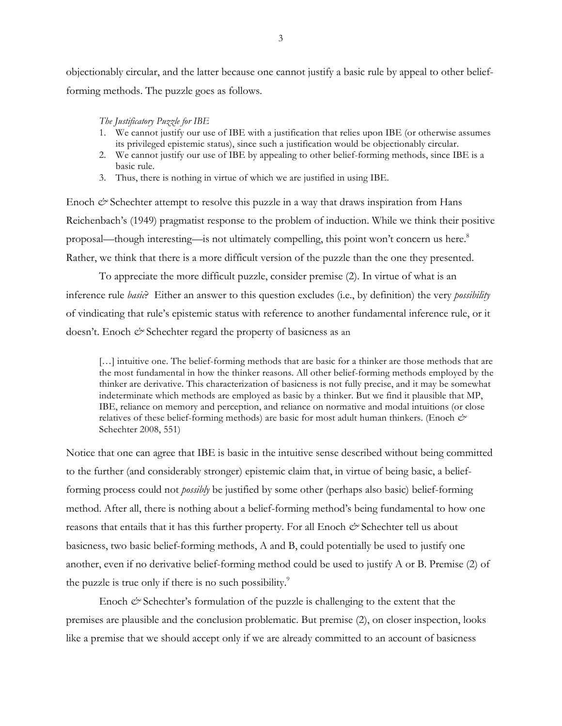objectionably circular, and the latter because one cannot justify a basic rule by appeal to other beliefforming methods. The puzzle goes as follows.

# *The Justificatory Puzzle for IBE*

- 1. We cannot justify our use of IBE with a justification that relies upon IBE (or otherwise assumes its privileged epistemic status), since such a justification would be objectionably circular.
- 2. We cannot justify our use of IBE by appealing to other belief-forming methods, since IBE is a basic rule.
- 3. Thus, there is nothing in virtue of which we are justified in using IBE.

Enoch  $\mathcal{O}$  Schechter attempt to resolve this puzzle in a way that draws inspiration from Hans Reichenbach's (1949) pragmatist response to the problem of induction. While we think their positive proposal—though interesting—is not ultimately compelling, this point won't concern us here.<sup>8</sup> Rather, we think that there is a more difficult version of the puzzle than the one they presented.

To appreciate the more difficult puzzle, consider premise (2). In virtue of what is an inference rule *basic*? Either an answer to this question excludes (i.e., by definition) the very *possibility* of vindicating that rule's epistemic status with reference to another fundamental inference rule, or it doesn't. Enoch  $\mathcal O^*$  Schechter regard the property of basicness as an

[...] intuitive one. The belief-forming methods that are basic for a thinker are those methods that are the most fundamental in how the thinker reasons. All other belief-forming methods employed by the thinker are derivative. This characterization of basicness is not fully precise, and it may be somewhat indeterminate which methods are employed as basic by a thinker. But we find it plausible that MP, IBE, reliance on memory and perception, and reliance on normative and modal intuitions (or close relatives of these belief-forming methods) are basic for most adult human thinkers. (Enoch *&* Schechter 2008, 551)

Notice that one can agree that IBE is basic in the intuitive sense described without being committed to the further (and considerably stronger) epistemic claim that, in virtue of being basic, a beliefforming process could not *possibly* be justified by some other (perhaps also basic) belief-forming method. After all, there is nothing about a belief-forming method's being fundamental to how one reasons that entails that it has this further property. For all Enoch  $\mathcal{O}^s$  Schechter tell us about basicness, two basic belief-forming methods, A and B, could potentially be used to justify one another, even if no derivative belief-forming method could be used to justify A or B. Premise (2) of the puzzle is true only if there is no such possibility.<sup>9</sup>

Enoch  $\mathcal{O}$  Schechter's formulation of the puzzle is challenging to the extent that the premises are plausible and the conclusion problematic. But premise (2), on closer inspection, looks like a premise that we should accept only if we are already committed to an account of basicness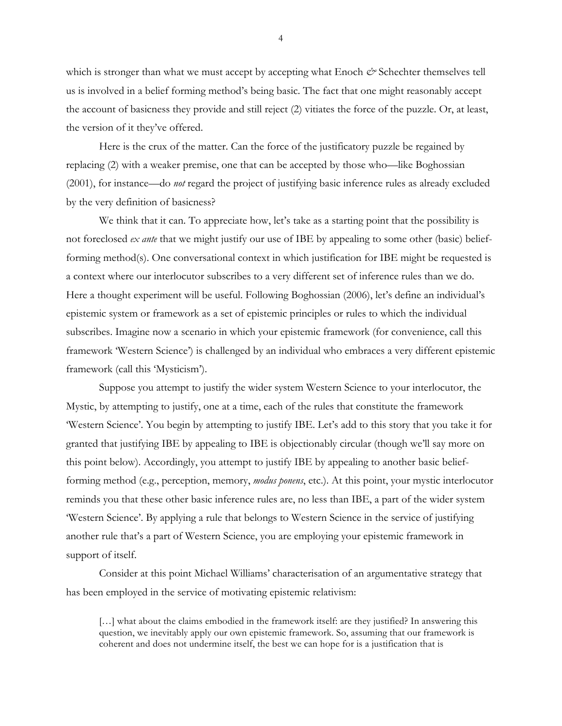which is stronger than what we must accept by accepting what Enoch  $\mathcal{O}^s$  Schechter themselves tell us is involved in a belief forming method's being basic. The fact that one might reasonably accept the account of basicness they provide and still reject (2) vitiates the force of the puzzle. Or, at least, the version of it they've offered.

Here is the crux of the matter. Can the force of the justificatory puzzle be regained by replacing (2) with a weaker premise, one that can be accepted by those who—like Boghossian (2001), for instance—do *not* regard the project of justifying basic inference rules as already excluded by the very definition of basicness?

We think that it can. To appreciate how, let's take as a starting point that the possibility is not foreclosed *ex ante* that we might justify our use of IBE by appealing to some other (basic) beliefforming method(s). One conversational context in which justification for IBE might be requested is a context where our interlocutor subscribes to a very different set of inference rules than we do. Here a thought experiment will be useful. Following Boghossian (2006), let's define an individual's epistemic system or framework as a set of epistemic principles or rules to which the individual subscribes. Imagine now a scenario in which your epistemic framework (for convenience, call this framework 'Western Science') is challenged by an individual who embraces a very different epistemic framework (call this 'Mysticism').

Suppose you attempt to justify the wider system Western Science to your interlocutor, the Mystic, by attempting to justify, one at a time, each of the rules that constitute the framework 'Western Science'. You begin by attempting to justify IBE. Let's add to this story that you take it for granted that justifying IBE by appealing to IBE is objectionably circular (though we'll say more on this point below). Accordingly, you attempt to justify IBE by appealing to another basic beliefforming method (e.g., perception, memory, *modus ponens*, etc.). At this point, your mystic interlocutor reminds you that these other basic inference rules are, no less than IBE, a part of the wider system 'Western Science'. By applying a rule that belongs to Western Science in the service of justifying another rule that's a part of Western Science, you are employing your epistemic framework in support of itself.

Consider at this point Michael Williams' characterisation of an argumentative strategy that has been employed in the service of motivating epistemic relativism:

[...] what about the claims embodied in the framework itself: are they justified? In answering this question, we inevitably apply our own epistemic framework. So, assuming that our framework is coherent and does not undermine itself, the best we can hope for is a justification that is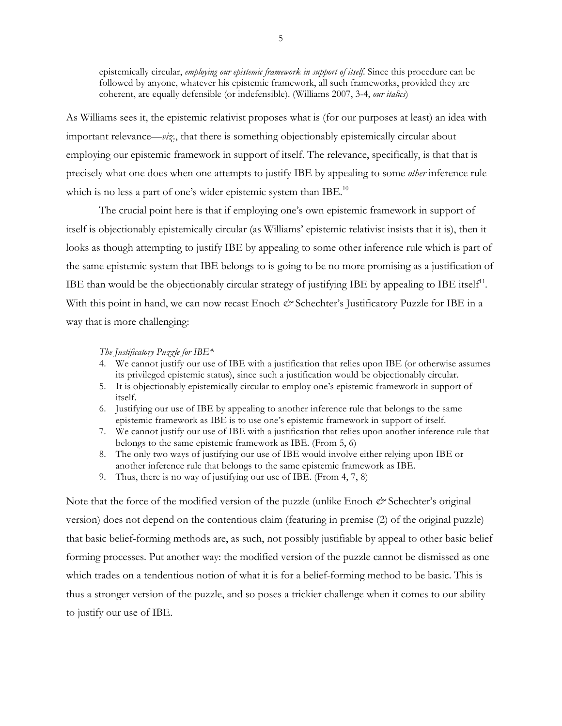epistemically circular, *employing our epistemic framework in support of itself*. Since this procedure can be followed by anyone, whatever his epistemic framework, all such frameworks, provided they are coherent, are equally defensible (or indefensible). (Williams 2007, 3-4, *our italics*)

As Williams sees it, the epistemic relativist proposes what is (for our purposes at least) an idea with important relevance—*viz*., that there is something objectionably epistemically circular about employing our epistemic framework in support of itself. The relevance, specifically, is that that is precisely what one does when one attempts to justify IBE by appealing to some *other* inference rule which is no less a part of one's wider epistemic system than IBE.<sup>10</sup>

The crucial point here is that if employing one's own epistemic framework in support of itself is objectionably epistemically circular (as Williams' epistemic relativist insists that it is), then it looks as though attempting to justify IBE by appealing to some other inference rule which is part of the same epistemic system that IBE belongs to is going to be no more promising as a justification of IBE than would be the objectionably circular strategy of justifying IBE by appealing to IBE itself<sup>11</sup>. With this point in hand, we can now recast Enoch  $\mathcal O^*$  Schechter's Justificatory Puzzle for IBE in a way that is more challenging:

#### *The Justificatory Puzzle for IBE\**

- 4. We cannot justify our use of IBE with a justification that relies upon IBE (or otherwise assumes its privileged epistemic status), since such a justification would be objectionably circular.
- 5. It is objectionably epistemically circular to employ one's epistemic framework in support of itself.
- 6. Justifying our use of IBE by appealing to another inference rule that belongs to the same epistemic framework as IBE is to use one's epistemic framework in support of itself.
- 7. We cannot justify our use of IBE with a justification that relies upon another inference rule that belongs to the same epistemic framework as IBE. (From 5, 6)
- 8. The only two ways of justifying our use of IBE would involve either relying upon IBE or another inference rule that belongs to the same epistemic framework as IBE.
- 9. Thus, there is no way of justifying our use of IBE. (From 4, 7, 8)

Note that the force of the modified version of the puzzle (unlike Enoch  $\mathcal O^*$  Schechter's original version) does not depend on the contentious claim (featuring in premise (2) of the original puzzle) that basic belief-forming methods are, as such, not possibly justifiable by appeal to other basic belief forming processes. Put another way: the modified version of the puzzle cannot be dismissed as one which trades on a tendentious notion of what it is for a belief-forming method to be basic. This is thus a stronger version of the puzzle, and so poses a trickier challenge when it comes to our ability to justify our use of IBE.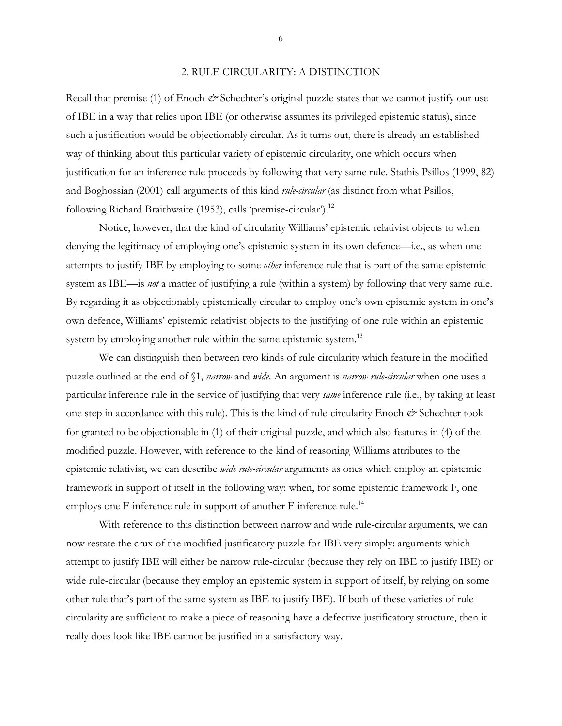# 2. RULE CIRCULARITY: A DISTINCTION

Recall that premise (1) of Enoch  $\mathcal O^*$  Schechter's original puzzle states that we cannot justify our use of IBE in a way that relies upon IBE (or otherwise assumes its privileged epistemic status), since such a justification would be objectionably circular. As it turns out, there is already an established way of thinking about this particular variety of epistemic circularity, one which occurs when justification for an inference rule proceeds by following that very same rule. Stathis Psillos (1999, 82) and Boghossian (2001) call arguments of this kind *rule-circular* (as distinct from what Psillos, following Richard Braithwaite (1953), calls 'premise-circular').<sup>12</sup>

Notice, however, that the kind of circularity Williams' epistemic relativist objects to when denying the legitimacy of employing one's epistemic system in its own defence—i.e., as when one attempts to justify IBE by employing to some *other* inference rule that is part of the same epistemic system as IBE—is *not* a matter of justifying a rule (within a system) by following that very same rule. By regarding it as objectionably epistemically circular to employ one's own epistemic system in one's own defence, Williams' epistemic relativist objects to the justifying of one rule within an epistemic system by employing another rule within the same epistemic system.<sup>13</sup>

We can distinguish then between two kinds of rule circularity which feature in the modified puzzle outlined at the end of §1, *narrow* and *wide*. An argument is *narrow rule-circular* when one uses a particular inference rule in the service of justifying that very *same* inference rule (i.e., by taking at least one step in accordance with this rule). This is the kind of rule-circularity Enoch  $\mathcal O^8$  Schechter took for granted to be objectionable in (1) of their original puzzle, and which also features in (4) of the modified puzzle. However, with reference to the kind of reasoning Williams attributes to the epistemic relativist, we can describe *wide rule-circular* arguments as ones which employ an epistemic framework in support of itself in the following way: when, for some epistemic framework F, one employs one F-inference rule in support of another F-inference rule.<sup>14</sup>

With reference to this distinction between narrow and wide rule-circular arguments, we can now restate the crux of the modified justificatory puzzle for IBE very simply: arguments which attempt to justify IBE will either be narrow rule-circular (because they rely on IBE to justify IBE) or wide rule-circular (because they employ an epistemic system in support of itself, by relying on some other rule that's part of the same system as IBE to justify IBE). If both of these varieties of rule circularity are sufficient to make a piece of reasoning have a defective justificatory structure, then it really does look like IBE cannot be justified in a satisfactory way.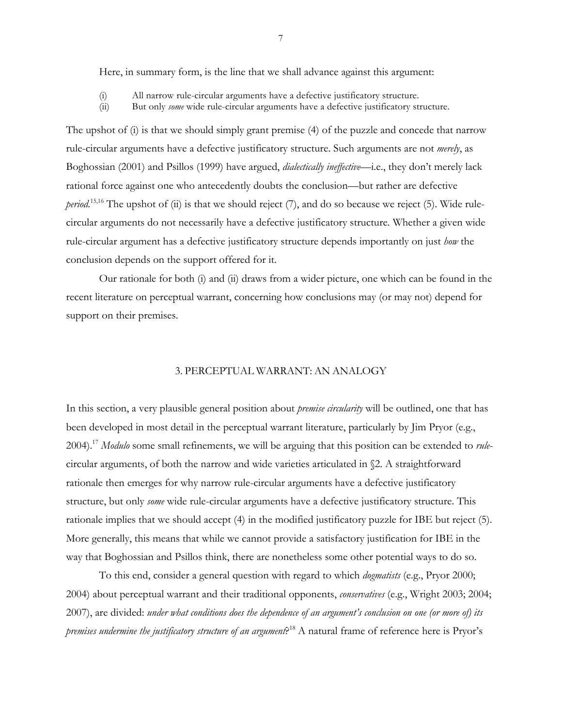Here, in summary form, is the line that we shall advance against this argument:

- (i) All narrow rule-circular arguments have a defective justificatory structure.
- (ii) But only *some* wide rule-circular arguments have a defective justificatory structure.

The upshot of (i) is that we should simply grant premise (4) of the puzzle and concede that narrow rule-circular arguments have a defective justificatory structure. Such arguments are not *merely*, as Boghossian (2001) and Psillos (1999) have argued, *dialectically ineffective*—i.e., they don't merely lack rational force against one who antecedently doubts the conclusion—but rather are defective period.<sup>15,16</sup> The upshot of (ii) is that we should reject (7), and do so because we reject (5). Wide rulecircular arguments do not necessarily have a defective justificatory structure*.* Whether a given wide rule-circular argument has a defective justificatory structure depends importantly on just *how* the conclusion depends on the support offered for it.

Our rationale for both (i) and (ii) draws from a wider picture, one which can be found in the recent literature on perceptual warrant, concerning how conclusions may (or may not) depend for support on their premises.

# 3. PERCEPTUAL WARRANT: AN ANALOGY

In this section, a very plausible general position about *premise circularity* will be outlined, one that has been developed in most detail in the perceptual warrant literature, particularly by Jim Pryor (e.g., 2004).17 *Modulo* some small refinements, we will be arguing that this position can be extended to *rule*circular arguments, of both the narrow and wide varieties articulated in §2. A straightforward rationale then emerges for why narrow rule-circular arguments have a defective justificatory structure, but only *some* wide rule-circular arguments have a defective justificatory structure. This rationale implies that we should accept (4) in the modified justificatory puzzle for IBE but reject (5). More generally, this means that while we cannot provide a satisfactory justification for IBE in the way that Boghossian and Psillos think, there are nonetheless some other potential ways to do so.

To this end, consider a general question with regard to which *dogmatists* (e.g., Pryor 2000; 2004) about perceptual warrant and their traditional opponents, *conservatives* (e.g., Wright 2003; 2004; 2007), are divided: *under what conditions does the dependence of an argument's conclusion on one (or more of) its premises undermine the justificatory structure of an argument*? <sup>18</sup> A natural frame of reference here is Pryor's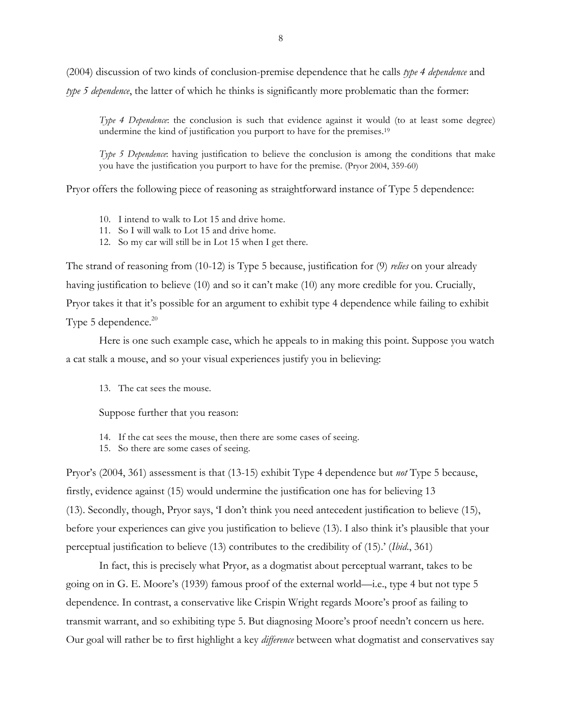(2004) discussion of two kinds of conclusion-premise dependence that he calls *type 4 dependence* and *type 5 dependence*, the latter of which he thinks is significantly more problematic than the former:

*Type 4 Dependence*: the conclusion is such that evidence against it would (to at least some degree) undermine the kind of justification you purport to have for the premises. 19

*Type 5 Dependence*: having justification to believe the conclusion is among the conditions that make you have the justification you purport to have for the premise. (Pryor 2004, 359-60)

Pryor offers the following piece of reasoning as straightforward instance of Type 5 dependence:

- 10. I intend to walk to Lot 15 and drive home.
- 11. So I will walk to Lot 15 and drive home.
- 12. So my car will still be in Lot 15 when I get there.

The strand of reasoning from (10-12) is Type 5 because, justification for (9) *relies* on your already having justification to believe (10) and so it can't make (10) any more credible for you. Crucially, Pryor takes it that it's possible for an argument to exhibit type 4 dependence while failing to exhibit Type 5 dependence.<sup>20</sup>

Here is one such example case, which he appeals to in making this point. Suppose you watch a cat stalk a mouse, and so your visual experiences justify you in believing:

13. The cat sees the mouse.

Suppose further that you reason:

- 14. If the cat sees the mouse, then there are some cases of seeing.
- 15. So there are some cases of seeing.

Pryor's (2004, 361) assessment is that (13-15) exhibit Type 4 dependence but *not* Type 5 because, firstly, evidence against (15) would undermine the justification one has for believing 13 (13). Secondly, though, Pryor says, 'I don't think you need antecedent justification to believe (15), before your experiences can give you justification to believe (13). I also think it's plausible that your perceptual justification to believe (13) contributes to the credibility of (15).' (*Ibid*., 361)

In fact, this is precisely what Pryor, as a dogmatist about perceptual warrant, takes to be going on in G. E. Moore's (1939) famous proof of the external world—i.e., type 4 but not type 5 dependence. In contrast, a conservative like Crispin Wright regards Moore's proof as failing to transmit warrant, and so exhibiting type 5. But diagnosing Moore's proof needn't concern us here. Our goal will rather be to first highlight a key *difference* between what dogmatist and conservatives say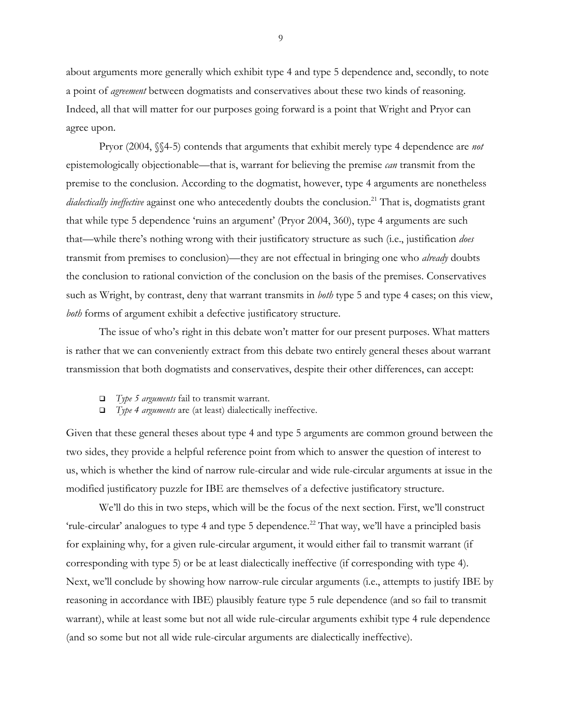about arguments more generally which exhibit type 4 and type 5 dependence and, secondly, to note a point of *agreement* between dogmatists and conservatives about these two kinds of reasoning. Indeed, all that will matter for our purposes going forward is a point that Wright and Pryor can agree upon.

Pryor (2004, §§4-5) contends that arguments that exhibit merely type 4 dependence are *not* epistemologically objectionable—that is, warrant for believing the premise *can* transmit from the premise to the conclusion. According to the dogmatist, however, type 4 arguments are nonetheless *dialectically ineffective* against one who antecedently doubts the conclusion. <sup>21</sup> That is, dogmatists grant that while type 5 dependence 'ruins an argument' (Pryor 2004, 360), type 4 arguments are such that—while there's nothing wrong with their justificatory structure as such (i.e., justification *does* transmit from premises to conclusion)—they are not effectual in bringing one who *already* doubts the conclusion to rational conviction of the conclusion on the basis of the premises. Conservatives such as Wright, by contrast, deny that warrant transmits in *both* type 5 and type 4 cases; on this view, *both* forms of argument exhibit a defective justificatory structure.

The issue of who's right in this debate won't matter for our present purposes. What matters is rather that we can conveniently extract from this debate two entirely general theses about warrant transmission that both dogmatists and conservatives, despite their other differences, can accept:

- q *Type 5 arguments* fail to transmit warrant.
- q *Type 4 arguments* are (at least) dialectically ineffective.

Given that these general theses about type 4 and type 5 arguments are common ground between the two sides, they provide a helpful reference point from which to answer the question of interest to us, which is whether the kind of narrow rule-circular and wide rule-circular arguments at issue in the modified justificatory puzzle for IBE are themselves of a defective justificatory structure.

We'll do this in two steps, which will be the focus of the next section. First, we'll construct 'rule-circular' analogues to type 4 and type 5 dependence.<sup>22</sup> That way, we'll have a principled basis for explaining why, for a given rule-circular argument, it would either fail to transmit warrant (if corresponding with type 5) or be at least dialectically ineffective (if corresponding with type 4). Next, we'll conclude by showing how narrow-rule circular arguments (i.e., attempts to justify IBE by reasoning in accordance with IBE) plausibly feature type 5 rule dependence (and so fail to transmit warrant), while at least some but not all wide rule-circular arguments exhibit type 4 rule dependence (and so some but not all wide rule-circular arguments are dialectically ineffective).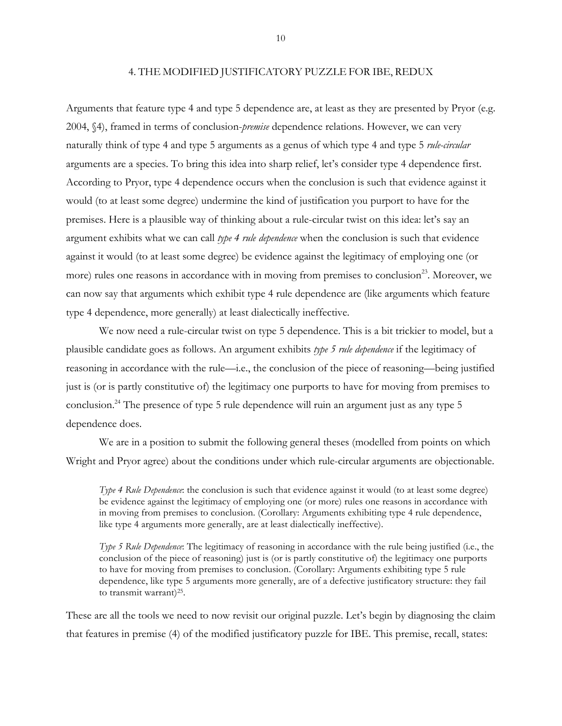## 4. THE MODIFIED JUSTIFICATORY PUZZLE FOR IBE, REDUX

Arguments that feature type 4 and type 5 dependence are, at least as they are presented by Pryor (e.g. 2004, §4), framed in terms of conclusion-*premise* dependence relations. However, we can very naturally think of type 4 and type 5 arguments as a genus of which type 4 and type 5 *rule-circular*  arguments are a species. To bring this idea into sharp relief, let's consider type 4 dependence first. According to Pryor, type 4 dependence occurs when the conclusion is such that evidence against it would (to at least some degree) undermine the kind of justification you purport to have for the premises. Here is a plausible way of thinking about a rule-circular twist on this idea: let's say an argument exhibits what we can call *type 4 rule dependence* when the conclusion is such that evidence against it would (to at least some degree) be evidence against the legitimacy of employing one (or more) rules one reasons in accordance with in moving from premises to conclusion<sup>23</sup>. Moreover, we can now say that arguments which exhibit type 4 rule dependence are (like arguments which feature type 4 dependence, more generally) at least dialectically ineffective.

We now need a rule-circular twist on type 5 dependence. This is a bit trickier to model, but a plausible candidate goes as follows. An argument exhibits *type 5 rule dependence* if the legitimacy of reasoning in accordance with the rule—i.e., the conclusion of the piece of reasoning—being justified just is (or is partly constitutive of) the legitimacy one purports to have for moving from premises to conclusion. <sup>24</sup> The presence of type 5 rule dependence will ruin an argument just as any type 5 dependence does.

We are in a position to submit the following general theses (modelled from points on which Wright and Pryor agree) about the conditions under which rule-circular arguments are objectionable.

*Type 4 Rule Dependence*: the conclusion is such that evidence against it would (to at least some degree) be evidence against the legitimacy of employing one (or more) rules one reasons in accordance with in moving from premises to conclusion. (Corollary: Arguments exhibiting type 4 rule dependence, like type 4 arguments more generally, are at least dialectically ineffective).

*Type 5 Rule Dependence*: The legitimacy of reasoning in accordance with the rule being justified (i.e., the conclusion of the piece of reasoning) just is (or is partly constitutive of) the legitimacy one purports to have for moving from premises to conclusion. (Corollary: Arguments exhibiting type 5 rule dependence, like type 5 arguments more generally, are of a defective justificatory structure: they fail to transmit warrant)25.

These are all the tools we need to now revisit our original puzzle. Let's begin by diagnosing the claim that features in premise (4) of the modified justificatory puzzle for IBE. This premise, recall, states: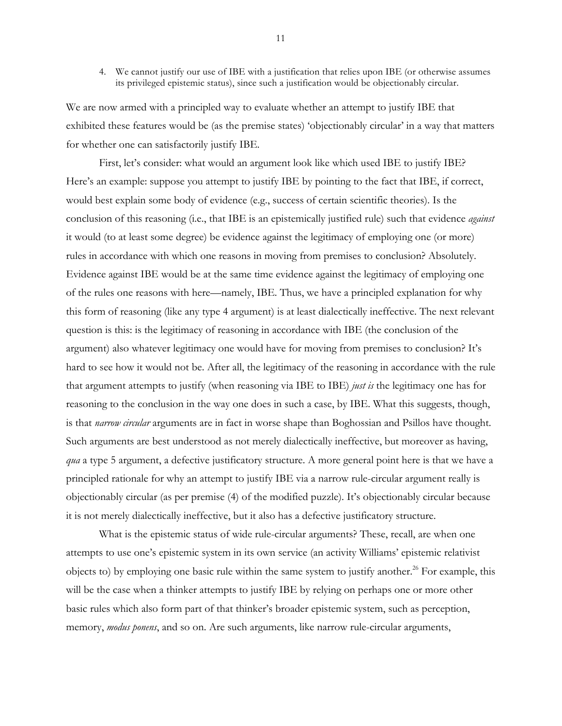4. We cannot justify our use of IBE with a justification that relies upon IBE (or otherwise assumes its privileged epistemic status), since such a justification would be objectionably circular.

We are now armed with a principled way to evaluate whether an attempt to justify IBE that exhibited these features would be (as the premise states) 'objectionably circular' in a way that matters for whether one can satisfactorily justify IBE.

First, let's consider: what would an argument look like which used IBE to justify IBE? Here's an example: suppose you attempt to justify IBE by pointing to the fact that IBE, if correct, would best explain some body of evidence (e.g., success of certain scientific theories). Is the conclusion of this reasoning (i.e., that IBE is an epistemically justified rule) such that evidence *against* it would (to at least some degree) be evidence against the legitimacy of employing one (or more) rules in accordance with which one reasons in moving from premises to conclusion? Absolutely. Evidence against IBE would be at the same time evidence against the legitimacy of employing one of the rules one reasons with here—namely, IBE. Thus, we have a principled explanation for why this form of reasoning (like any type 4 argument) is at least dialectically ineffective. The next relevant question is this: is the legitimacy of reasoning in accordance with IBE (the conclusion of the argument) also whatever legitimacy one would have for moving from premises to conclusion? It's hard to see how it would not be. After all, the legitimacy of the reasoning in accordance with the rule that argument attempts to justify (when reasoning via IBE to IBE) *just is* the legitimacy one has for reasoning to the conclusion in the way one does in such a case, by IBE. What this suggests, though, is that *narrow circular* arguments are in fact in worse shape than Boghossian and Psillos have thought. Such arguments are best understood as not merely dialectically ineffective, but moreover as having, *qua* a type 5 argument, a defective justificatory structure. A more general point here is that we have a principled rationale for why an attempt to justify IBE via a narrow rule-circular argument really is objectionably circular (as per premise (4) of the modified puzzle). It's objectionably circular because it is not merely dialectically ineffective, but it also has a defective justificatory structure.

What is the epistemic status of wide rule-circular arguments? These, recall, are when one attempts to use one's epistemic system in its own service (an activity Williams' epistemic relativist objects to) by employing one basic rule within the same system to justify another. <sup>26</sup> For example, this will be the case when a thinker attempts to justify IBE by relying on perhaps one or more other basic rules which also form part of that thinker's broader epistemic system, such as perception, memory, *modus ponens*, and so on. Are such arguments, like narrow rule-circular arguments,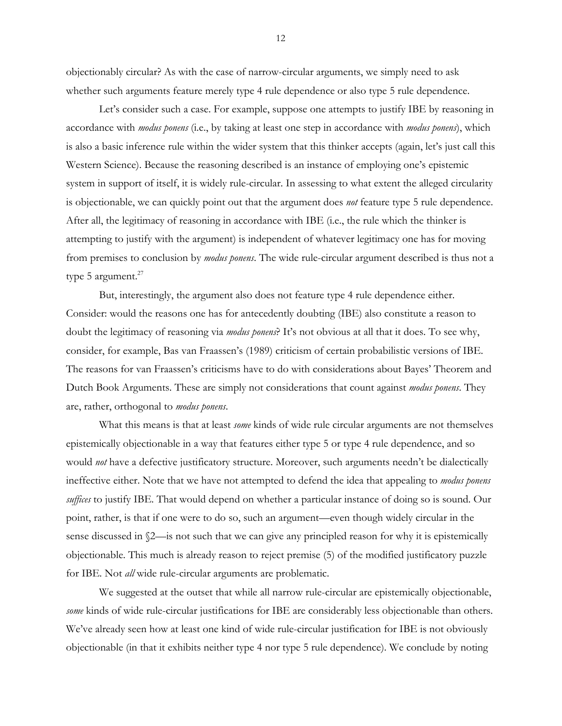objectionably circular? As with the case of narrow-circular arguments, we simply need to ask whether such arguments feature merely type 4 rule dependence or also type 5 rule dependence.

Let's consider such a case. For example, suppose one attempts to justify IBE by reasoning in accordance with *modus ponens* (i.e., by taking at least one step in accordance with *modus ponens*), which is also a basic inference rule within the wider system that this thinker accepts (again, let's just call this Western Science). Because the reasoning described is an instance of employing one's epistemic system in support of itself, it is widely rule-circular. In assessing to what extent the alleged circularity is objectionable, we can quickly point out that the argument does *not* feature type 5 rule dependence. After all, the legitimacy of reasoning in accordance with IBE (i.e., the rule which the thinker is attempting to justify with the argument) is independent of whatever legitimacy one has for moving from premises to conclusion by *modus ponens*. The wide rule-circular argument described is thus not a type 5 argument.<sup>27</sup>

But, interestingly, the argument also does not feature type 4 rule dependence either. Consider: would the reasons one has for antecedently doubting (IBE) also constitute a reason to doubt the legitimacy of reasoning via *modus ponens*? It's not obvious at all that it does. To see why, consider, for example, Bas van Fraassen's (1989) criticism of certain probabilistic versions of IBE. The reasons for van Fraassen's criticisms have to do with considerations about Bayes' Theorem and Dutch Book Arguments. These are simply not considerations that count against *modus ponens*. They are, rather, orthogonal to *modus ponens*.

What this means is that at least *some* kinds of wide rule circular arguments are not themselves epistemically objectionable in a way that features either type 5 or type 4 rule dependence, and so would *not* have a defective justificatory structure. Moreover, such arguments needn't be dialectically ineffective either. Note that we have not attempted to defend the idea that appealing to *modus ponens suffices* to justify IBE. That would depend on whether a particular instance of doing so is sound. Our point, rather, is that if one were to do so, such an argument—even though widely circular in the sense discussed in §2—is not such that we can give any principled reason for why it is epistemically objectionable. This much is already reason to reject premise (5) of the modified justificatory puzzle for IBE. Not *all* wide rule-circular arguments are problematic.

We suggested at the outset that while all narrow rule-circular are epistemically objectionable, *some* kinds of wide rule-circular justifications for IBE are considerably less objectionable than others. We've already seen how at least one kind of wide rule-circular justification for IBE is not obviously objectionable (in that it exhibits neither type 4 nor type 5 rule dependence). We conclude by noting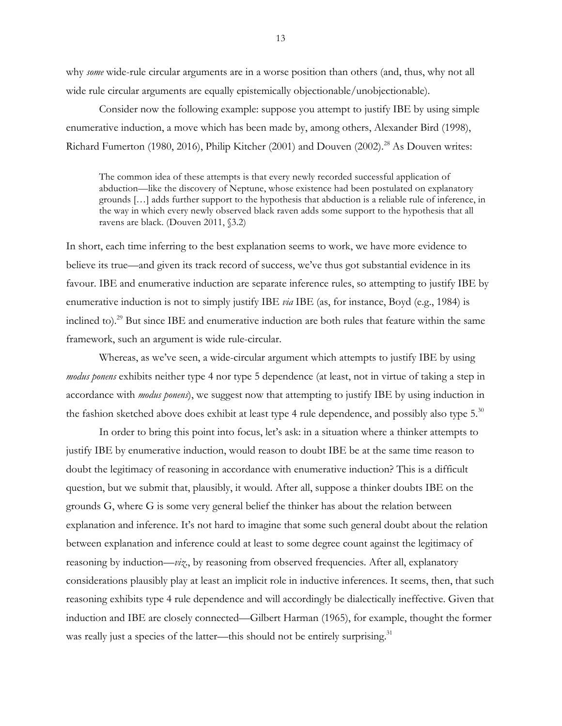why *some* wide-rule circular arguments are in a worse position than others (and, thus, why not all wide rule circular arguments are equally epistemically objectionable/unobjectionable).

Consider now the following example: suppose you attempt to justify IBE by using simple enumerative induction, a move which has been made by, among others, Alexander Bird (1998), Richard Fumerton (1980, 2016), Philip Kitcher (2001) and Douven (2002).<sup>28</sup> As Douven writes:

The common idea of these attempts is that every newly recorded successful application of abduction—like the discovery of Neptune, whose existence had been postulated on explanatory grounds […] adds further support to the hypothesis that abduction is a reliable rule of inference, in the way in which every newly observed black raven adds some support to the hypothesis that all ravens are black. (Douven 2011, §3.2)

In short, each time inferring to the best explanation seems to work, we have more evidence to believe its true—and given its track record of success, we've thus got substantial evidence in its favour. IBE and enumerative induction are separate inference rules, so attempting to justify IBE by enumerative induction is not to simply justify IBE *via* IBE (as, for instance, Boyd (e.g., 1984) is inclined to).<sup>29</sup> But since IBE and enumerative induction are both rules that feature within the same framework, such an argument is wide rule-circular.

Whereas, as we've seen, a wide-circular argument which attempts to justify IBE by using *modus ponens* exhibits neither type 4 nor type 5 dependence (at least, not in virtue of taking a step in accordance with *modus ponens*), we suggest now that attempting to justify IBE by using induction in the fashion sketched above does exhibit at least type 4 rule dependence, and possibly also type  $5^{30}$ 

In order to bring this point into focus, let's ask: in a situation where a thinker attempts to justify IBE by enumerative induction, would reason to doubt IBE be at the same time reason to doubt the legitimacy of reasoning in accordance with enumerative induction? This is a difficult question, but we submit that, plausibly, it would. After all, suppose a thinker doubts IBE on the grounds G, where G is some very general belief the thinker has about the relation between explanation and inference. It's not hard to imagine that some such general doubt about the relation between explanation and inference could at least to some degree count against the legitimacy of reasoning by induction—*viz*., by reasoning from observed frequencies. After all, explanatory considerations plausibly play at least an implicit role in inductive inferences. It seems, then, that such reasoning exhibits type 4 rule dependence and will accordingly be dialectically ineffective. Given that induction and IBE are closely connected—Gilbert Harman (1965), for example, thought the former was really just a species of the latter—this should not be entirely surprising.<sup>31</sup>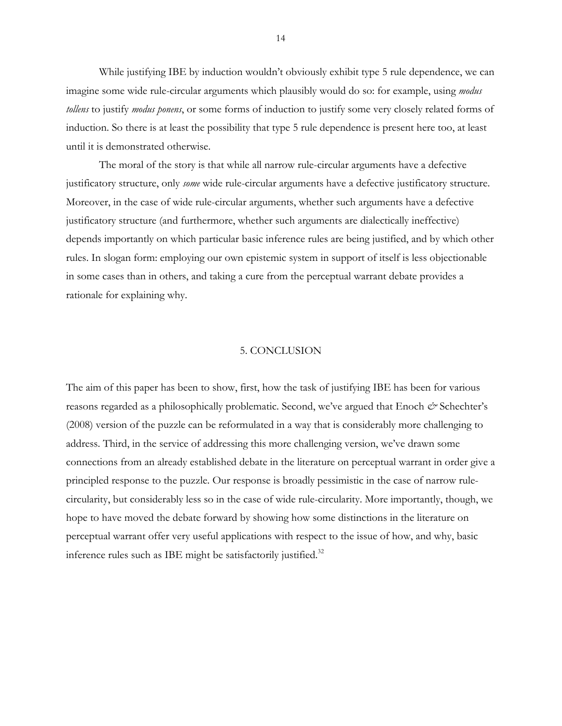While justifying IBE by induction wouldn't obviously exhibit type 5 rule dependence, we can imagine some wide rule-circular arguments which plausibly would do so: for example, using *modus tollens* to justify *modus ponens*, or some forms of induction to justify some very closely related forms of induction. So there is at least the possibility that type 5 rule dependence is present here too, at least until it is demonstrated otherwise.

The moral of the story is that while all narrow rule-circular arguments have a defective justificatory structure, only *some* wide rule-circular arguments have a defective justificatory structure. Moreover, in the case of wide rule-circular arguments, whether such arguments have a defective justificatory structure (and furthermore, whether such arguments are dialectically ineffective) depends importantly on which particular basic inference rules are being justified, and by which other rules. In slogan form: employing our own epistemic system in support of itself is less objectionable in some cases than in others, and taking a cure from the perceptual warrant debate provides a rationale for explaining why.

#### 5. CONCLUSION

The aim of this paper has been to show, first, how the task of justifying IBE has been for various reasons regarded as a philosophically problematic. Second, we've argued that Enoch  $\mathcal{O}$  Schechter's (2008) version of the puzzle can be reformulated in a way that is considerably more challenging to address. Third, in the service of addressing this more challenging version, we've drawn some connections from an already established debate in the literature on perceptual warrant in order give a principled response to the puzzle. Our response is broadly pessimistic in the case of narrow rulecircularity, but considerably less so in the case of wide rule-circularity. More importantly, though, we hope to have moved the debate forward by showing how some distinctions in the literature on perceptual warrant offer very useful applications with respect to the issue of how, and why, basic inference rules such as IBE might be satisfactorily justified.<sup>32</sup>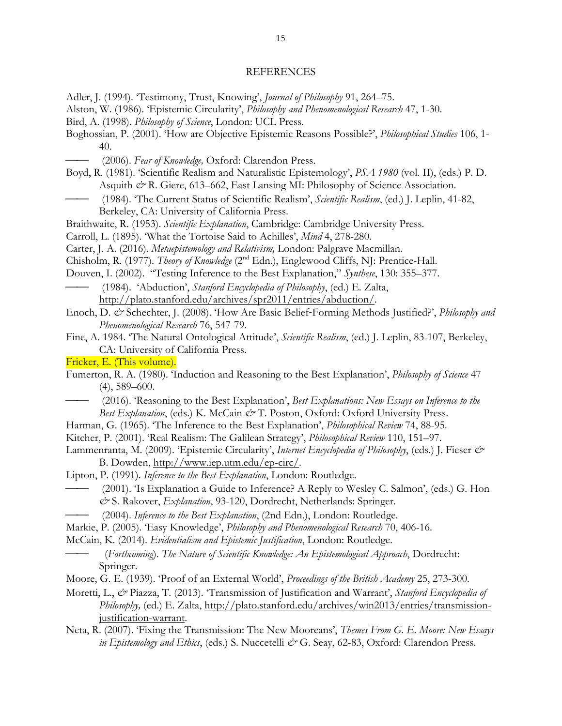#### REFERENCES

- Adler, J. (1994). 'Testimony, Trust, Knowing', *Journal of Philosophy* 91, 264–75.
- Alston, W. (1986). 'Epistemic Circularity', *Philosophy and Phenomenological Research* 47, 1-30.
- Bird, A. (1998). *Philosophy of Science*, London: UCL Press.
- Boghossian, P. (2001). 'How are Objective Epistemic Reasons Possible?', *Philosophical Studies* 106, 1- 40.
	- (2006). Fear of Knowledge, Oxford: Clarendon Press.
- Boyd, R. (1981). 'Scientific Realism and Naturalistic Epistemology', *PSA 1980* (vol. II), (eds.) P. D. Asquith *&* R. Giere, 613–662, East Lansing MI: Philosophy of Science Association.
- ⎯⎯ (1984). 'The Current Status of Scientific Realism', *Scientific Realism*, (ed.) J. Leplin, 41-82, Berkeley, CA: University of California Press.
- Braithwaite, R. (1953). *Scientific Explanation*, Cambridge: Cambridge University Press.
- Carroll, L. (1895). 'What the Tortoise Said to Achilles', *Mind* 4, 278-280.
- Carter, J. A. (2016). *Metaepistemology and Relativism,* London: Palgrave Macmillan.
- Chisholm, R. (1977). *Theory of Knowledge* (2nd Edn.), Englewood Cliffs, NJ: Prentice-Hall.
- Douven, I. (2002). "Testing Inference to the Best Explanation," *Synthese*, 130: 355–377.
- ⎯⎯ (1984). 'Abduction', *Stanford Encyclopedia of Philosophy*, (ed.) E. Zalta, http://plato.stanford.edu/archives/spr2011/entries/abduction/.
- Enoch, D. & Schechter, J. (2008). 'How Are Basic Belief-Forming Methods Justified?', *Philosophy and Phenomenological Research* 76, 547-79.
- Fine, A. 1984. 'The Natural Ontological Attitude', *Scientific Realism*, (ed.) J. Leplin, 83-107, Berkeley, CA: University of California Press.
- Fricker, E. (This volume).
- Fumerton, R. A. (1980). 'Induction and Reasoning to the Best Explanation', *Philosophy of Science* 47 (4), 589–600.
- (2016). 'Reasoning to the Best Explanation', *Best Explanations: New Essays on Inference to the Best Explanation*, (eds.) K. McCain *&* T. Poston, Oxford: Oxford University Press.
- Harman, G. (1965). 'The Inference to the Best Explanation', *Philosophical Review* 74, 88-95.
- Kitcher, P. (2001). 'Real Realism: The Galilean Strategy', *Philosophical Review* 110, 151–97.
- Lammenranta, M. (2009). 'Epistemic Circularity', *Internet Encyclopedia of Philosophy*, (eds.) J. Fieser *&* B. Dowden, http://www.iep.utm.edu/ep-circ/.
- Lipton, P. (1991). *Inference to the Best Explanation*, London: Routledge.
- (2001). 'Is Explanation a Guide to Inference? A Reply to Wesley C. Salmon', (eds.) G. Hon *&* S. Rakover, *Explanation*, 93-120, Dordrecht, Netherlands: Springer.
	- ⎯⎯ (2004). *Inference to the Best Explanation*, (2nd Edn.), London: Routledge.
- Markie, P. (2005). 'Easy Knowledge', *Philosophy and Phenomenological Research* 70, 406-16.
- McCain, K. (2014). *Evidentialism and Epistemic Justification*, London: Routledge.
- ⎯⎯ (*Forthcoming*). *The Nature of Scientific Knowledge: An Epistemological Approach*, Dordrecht: Springer.
- Moore, G. E. (1939). 'Proof of an External World', *Proceedings of the British Academy* 25, 273-300.
- Moretti, L., *&* Piazza, T. (2013). 'Transmission of Justification and Warrant', *Stanford Encyclopedia of Philosophy,* (ed.) E. Zalta, http://plato.stanford.edu/archives/win2013/entries/transmissionjustification-warrant.
- Neta, R. (2007). 'Fixing the Transmission: The New Mooreans', *Themes From G. E. Moore: New Essays in Epistemology and Ethics*, (eds.) S. Nuccetelli  $\mathcal{O}$  G. Seay, 62-83, Oxford: Clarendon Press.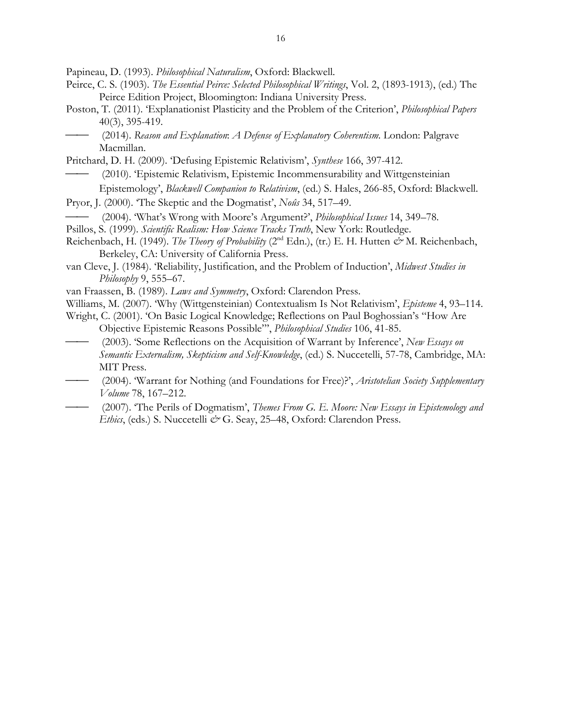Papineau, D. (1993). *Philosophical Naturalism*, Oxford: Blackwell.

- Peirce, C. S. (1903). *The Essential Peirce: Selected Philosophical Writings*, Vol. 2, (1893-1913), (ed.) The Peirce Edition Project, Bloomington: Indiana University Press.
- Poston, T. (2011). 'Explanationist Plasticity and the Problem of the Criterion', *Philosophical Papers* 40(3), 395-419.
- (2014). Reason and Explanation: *A Defense of Explanatory Coherentism*. London: Palgrave Macmillan.
- Pritchard, D. H. (2009). 'Defusing Epistemic Relativism', *Synthese* 166, 397-412.
- (2010). 'Epistemic Relativism, Epistemic Incommensurability and Wittgensteinian Epistemology', *Blackwell Companion to Relativism*, (ed.) S. Hales, 266-85, Oxford: Blackwell.
- Pryor, J. (2000). 'The Skeptic and the Dogmatist', *Noûs* 34, 517–49.
- ⎯⎯ (2004). 'What's Wrong with Moore's Argument?', *Philosophical Issues* 14, 349–78.
- Psillos, S. (1999). *Scientific Realism: How Science Tracks Truth*, New York: Routledge.
- Reichenbach, H. (1949). *The Theory of Probability* (2nd Edn.), (tr.) E. H. Hutten *&* M. Reichenbach, Berkeley, CA: University of California Press.
- van Cleve, J. (1984). 'Reliability, Justification, and the Problem of Induction', *Midwest Studies in Philosophy* 9, 555–67.
- van Fraassen, B. (1989). *Laws and Symmetry*, Oxford: Clarendon Press.
- Williams, M. (2007). 'Why (Wittgensteinian) Contextualism Is Not Relativism', *Episteme* 4, 93–114.
- Wright, C. (2001). 'On Basic Logical Knowledge; Reflections on Paul Boghossian's "How Are Objective Epistemic Reasons Possible"', *Philosophical Studies* 106, 41-85.
- ⎯⎯ (2003). 'Some Reflections on the Acquisition of Warrant by Inference', *New Essays on Semantic Externalism, Skepticism and Self-Knowledge*, (ed.) S. Nuccetelli, 57-78, Cambridge, MA: MIT Press.
- ⎯⎯ (2004). 'Warrant for Nothing (and Foundations for Free)?', *Aristotelian Society Supplementary Volume* 78, 167–212.
- ⎯⎯ (2007). 'The Perils of Dogmatism', *Themes From G. E. Moore: New Essays in Epistemology and Ethics*, (eds.) S. Nuccetelli  $\mathcal{O}$  G. Seay, 25–48, Oxford: Clarendon Press.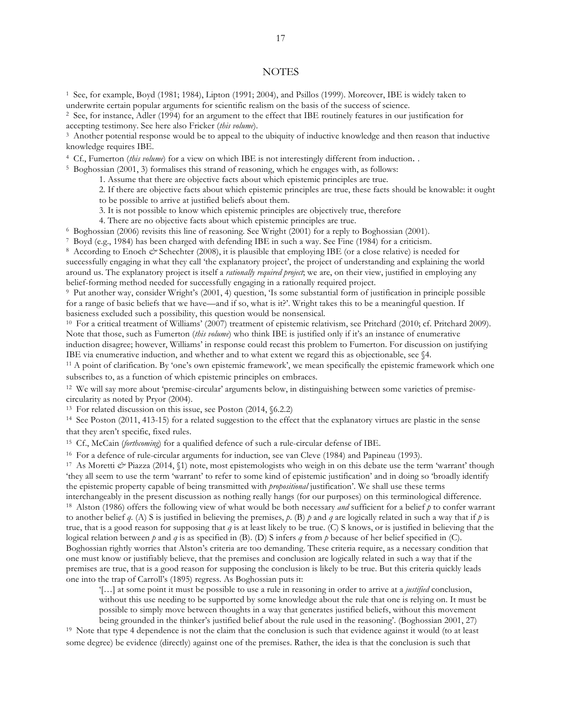#### **NOTES**

<sup>1</sup> See, for example, Boyd (1981; 1984), Lipton (1991; 2004), and Psillos (1999). Moreover, IBE is widely taken to underwrite certain popular arguments for scientific realism on the basis of the success of science.

<sup>2</sup> See, for instance, Adler (1994) for an argument to the effect that IBE routinely features in our justification for accepting testimony. See here also Fricker (*this volume*).

<sup>3</sup> Another potential response would be to appeal to the ubiquity of inductive knowledge and then reason that inductive knowledge requires IBE.

<sup>4</sup> Cf., Fumerton (*this volume*) for a view on which IBE is not interestingly different from induction. .

<sup>5</sup> Boghossian (2001, 3) formalises this strand of reasoning, which he engages with, as follows:

1. Assume that there are objective facts about which epistemic principles are true.

2. If there are objective facts about which epistemic principles are true, these facts should be knowable: it ought to be possible to arrive at justified beliefs about them.

3. It is not possible to know which epistemic principles are objectively true, therefore

4. There are no objective facts about which epistemic principles are true.

<sup>6</sup> Boghossian (2006) revisits this line of reasoning*.* See Wright (2001) for a reply to Boghossian (2001).

<sup>7</sup> Boyd (e.g., 1984) has been charged with defending IBE in such a way. See Fine (1984) for a criticism.

<sup>8</sup> According to Enoch  $\dot{\mathcal{O}}$  Schechter (2008), it is plausible that employing IBE (or a close relative) is needed for successfully engaging in what they call 'the explanatory project', the project of understanding and explaining the world around us. The explanatory project is itself a *rationally required project*; we are, on their view, justified in employing any belief-forming method needed for successfully engaging in a rationally required project.

<sup>9</sup> Put another way, consider Wright's (2001, 4) question, 'Is some substantial form of justification in principle possible for a range of basic beliefs that we have—and if so, what is it?'. Wright takes this to be a meaningful question. If

<sup>10</sup> For a critical treatment of Williams' (2007) treatment of epistemic relativism, see Pritchard (2010; cf. Pritchard 2009). Note that those, such as Fumerton (*this volume*) who think IBE is justified only if it's an instance of enumerative induction disagree; however, Williams' in response could recast this problem to Fumerton. For discussion on justifying IBE via enumerative induction, and whether and to what extent we regard this as objectionable, see §4.

<sup>11</sup> A point of clarification. By 'one's own epistemic framework', we mean specifically the epistemic framework which one subscribes to, as a function of which epistemic principles on embraces.

<sup>12</sup> We will say more about 'premise-circular' arguments below, in distinguishing between some varieties of premisecircularity as noted by Pryor (2004).

<sup>13</sup> For related discussion on this issue, see Poston  $(2014, §6.2.2)$ <br><sup>14</sup> See Poston  $(2011, 413-15)$  for a related suggestion to the effect that the explanatory virtues are plastic in the sense that they aren't specific, fixed rules.

<sup>15</sup> Cf., McCain (*forthcoming*) for a qualified defence of such a rule-circular defense of IBE.

<sup>16</sup> For a defence of rule-circular arguments for induction, see van Cleve (1984) and Papineau (1993).

<sup>17</sup> As Moretti  $\mathcal{O}$  Piazza (2014, §1) note, most epistemologists who weigh in on this debate use the term 'warrant' though 'they all seem to use the term 'warrant' to refer to some kind of epistemic justification' and in doing so 'broadly identify the epistemic property capable of being transmitted with *propositional* justification'. We shall use these terms interchangeably in the present discussion as nothing really hangs (for our purposes) on this terminological difference. <sup>18</sup> Alston (1986) offers the following view of what would be both necessary *and* sufficient for a belief *p* to confer warrant to another belief *q*. (A) S is justified in believing the premises, *p*. (B) *p* and *q* are logically related in such a way that if *p* is true, that is a good reason for supposing that *q* is at least likely to be true. (C) S knows, or is justified in believing that the logical relation between *p* and *q* is as specified in (B). (D) S infers *q* from *p* because of her belief specified in (C). Boghossian rightly worries that Alston's criteria are too demanding. These criteria require, as a necessary condition that one must know or justifiably believe, that the premises and conclusion are logically related in such a way that if the premises are true, that is a good reason for supposing the conclusion is likely to be true. But this criteria quickly leads one into the trap of Carroll's (1895) regress. As Boghossian puts it:

'[…] at some point it must be possible to use a rule in reasoning in order to arrive at a *justified* conclusion, without this use needing to be supported by some knowledge about the rule that one is relying on. It must be possible to simply move between thoughts in a way that generates justified beliefs, without this movement being grounded in the thinker's justified belief about the rule used in the reasoning'. (Boghossian 2001, 27)

<sup>19</sup> Note that type 4 dependence is not the claim that the conclusion is such that evidence against it would (to at least some degree) be evidence (directly) against one of the premises. Rather, the idea is that the conclusion is such that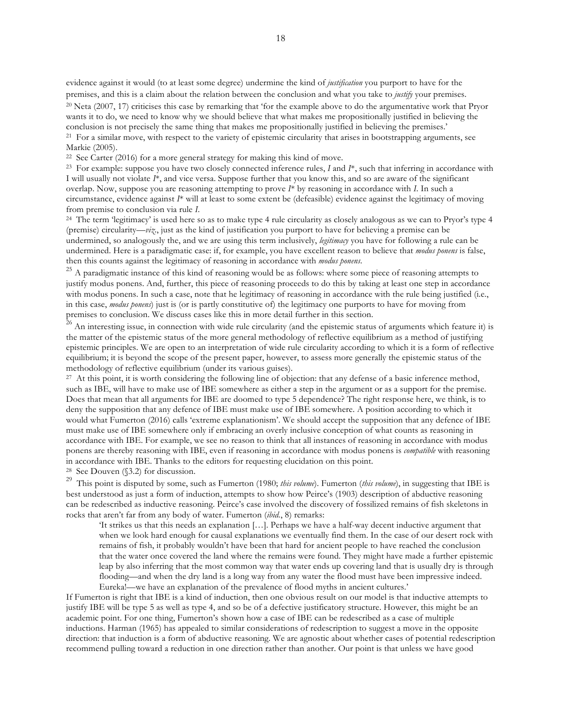evidence against it would (to at least some degree) undermine the kind of *justification* you purport to have for the premises, and this is a claim about the relation between the conclusion and what you take to *justify* your premises.

<sup>20</sup> Neta (2007, 17) criticises this case by remarking that 'for the example above to do the argumentative work that Pryor wants it to do, we need to know why we should believe that what makes me propositionally justified in believing the conclusion is not precisely the same thing that makes me propositionally justified in believing the premises.' <sup>21</sup> For a similar move, with respect to the variety of epistemic circularity that arises in bootstrapping arguments, see Markie (2005).

22 See Carter (2016) for a more general strategy for making this kind of move. 23 For example: suppose you have two closely connected inference rules, *<sup>I</sup>* and *I*\*, such that inferring in accordance with I will usually not violate  $I^*$ , and vice versa. Suppose further that you know this, and so are aware of the significant overlap. Now, suppose you are reasoning attempting to prove *I*\* by reasoning in accordance with *I*. In such a circumstance, evidence against *I*\* will at least to some extent be (defeasible) evidence against the legitimacy of moving from premise to conclusion via rule *I*.<br><sup>24</sup> The term 'legitimacy' is used here so as to make type 4 rule circularity as closely analogous as we can to Pryor's type 4

(premise) circularity—*viz*., just as the kind of justification you purport to have for believing a premise can be undermined, so analogously the, and we are using this term inclusively, *legitimacy* you have for following a rule can be undermined. Here is a paradigmatic case: if, for example, you have excellent reason to believe that *modus ponens* is false, then this counts against the legitimacy of reasoning in accordance with *modus ponens*. 25 A paradigmatic instance of this kind of reasoning would be as follows: where some piece of reasoning attempts to

justify modus ponens. And, further, this piece of reasoning proceeds to do this by taking at least one step in accordance with modus ponens. In such a case, note that he legitimacy of reasoning in accordance with the rule being justified (i.e., in this case, *modus ponens*) just is (or is partly constitutive of) the legitimacy one purports to have for moving from premises to conclusion. We discuss cases like this in more detail further in this section.

 $^{26}$  An interesting issue, in connection with wide rule circularity (and the epistemic status of arguments which feature it) is the matter of the epistemic status of the more general methodology of reflective equilibrium as a method of justifying epistemic principles. We are open to an interpretation of wide rule circularity according to which it is a form of reflective equilibrium; it is beyond the scope of the present paper, however, to assess more generally the epistemic status of the methodology of reflective equilibrium (under its various guises).

<sup>27</sup> At this point, it is worth considering the following line of objection: that any defense of a basic inference method, such as IBE, will have to make use of IBE somewhere as either a step in the argument or as a support for the premise. Does that mean that all arguments for IBE are doomed to type 5 dependence? The right response here, we think, is to deny the supposition that any defence of IBE must make use of IBE somewhere. A position according to which it would what Fumerton (2016) calls 'extreme explanationism'. We should accept the supposition that any defence of IBE must make use of IBE somewhere only if embracing an overly inclusive conception of what counts as reasoning in accordance with IBE. For example, we see no reason to think that all instances of reasoning in accordance with modus ponens are thereby reasoning with IBE, even if reasoning in accordance with modus ponens is *compatible* with reasoning in accordance with IBE. Thanks to the editors for requesting elucidation on this point.

28 See Douven (§3.2) for discussion.

<sup>29</sup> This point is disputed by some, such as Fumerton (1980; *this volume*). Fumerton (*this volume*), in suggesting that IBE is best understood as just a form of induction, attempts to show how Peirce's (1903) description of abductive reasoning can be redescribed as inductive reasoning. Peirce's case involved the discovery of fossilized remains of fish skeletons in rocks that aren't far from any body of water. Fumerton (*ibid.*, 8) remarks:

'It strikes us that this needs an explanation […]. Perhaps we have a half-way decent inductive argument that when we look hard enough for causal explanations we eventually find them. In the case of our desert rock with remains of fish, it probably wouldn't have been that hard for ancient people to have reached the conclusion that the water once covered the land where the remains were found. They might have made a further epistemic leap by also inferring that the most common way that water ends up covering land that is usually dry is through flooding—and when the dry land is a long way from any water the flood must have been impressive indeed. Eureka!—we have an explanation of the prevalence of flood myths in ancient cultures.'

If Fumerton is right that IBE is a kind of induction, then one obvious result on our model is that inductive attempts to justify IBE will be type 5 as well as type 4, and so be of a defective justificatory structure. However, this might be an academic point. For one thing, Fumerton's shown how a case of IBE can be redescribed as a case of multiple inductions. Harman (1965) has appealed to similar considerations of redescription to suggest a move in the opposite direction: that induction is a form of abductive reasoning. We are agnostic about whether cases of potential redescription recommend pulling toward a reduction in one direction rather than another. Our point is that unless we have good